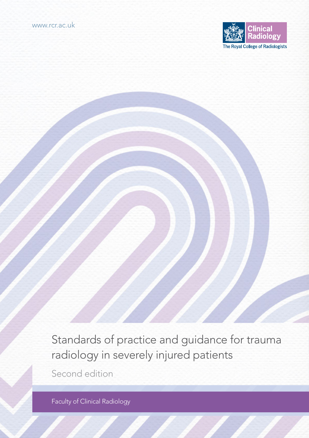

Standards of practice and guidance for trauma radiology in severely injured patients

Second edition

Faculty of Clinical Radiology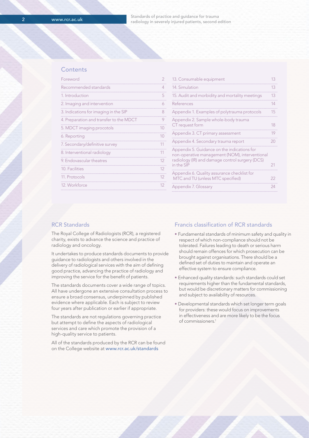## **Contents**

| Foreword                                | 2  |
|-----------------------------------------|----|
| Recommended standards                   | 4  |
| 1. Introduction                         | 5  |
| 2. Imaging and intervention             | 6  |
| 3. Indications for imaging in the SIP   | 8  |
| 4. Preparation and transfer to the MDCT | 9  |
| 5. MDCT imaging procotols               | 10 |
| 6. Reporting                            | 10 |
| 7. Secondary/definitive survey          | 11 |
| 8. Interventional radiology             | 11 |
| 9. Endovascular theatres                | 12 |
| 10. Facilities                          | 12 |
| 11. Protocols                           | 12 |
| 12. Workforce                           | 12 |

| 13. Consumable equipment                                                                                                                         | 13 |
|--------------------------------------------------------------------------------------------------------------------------------------------------|----|
| 14. Simulation                                                                                                                                   | 13 |
| 15. Audit and morbidity and mortality meetings                                                                                                   | 13 |
| References                                                                                                                                       | 14 |
| Appendix 1. Examples of polytrauma protocols                                                                                                     | 15 |
| Appendix 2. Sample whole-body trauma                                                                                                             |    |
| CT request form                                                                                                                                  | 18 |
| Appendix 3. CT primary assessment                                                                                                                | 19 |
| Appendix 4. Secondary trauma report                                                                                                              | 20 |
| Appendix 5. Guidance on the indications for<br>non-operative management (NOM), interventional<br>radiology (IR) and damage control surgery (DCS) |    |
| in the SIP                                                                                                                                       | 21 |
| Appendix 6. Quality assurance checklist for<br>MTC and TU (unless MTC specified)                                                                 | 22 |
| Appendix 7. Glossary                                                                                                                             | 24 |
|                                                                                                                                                  |    |

## RCR Standards

The Royal College of Radiologists (RCR), a registered charity, exists to advance the science and practice of radiology and oncology.

It undertakes to produce standards documents to provide guidance to radiologists and others involved in the delivery of radiological services with the aim of defining good practice, advancing the practice of radiology and improving the service for the benefit of patients.

The standards documents cover a wide range of topics. All have undergone an extensive consultation process to ensure a broad consensus, underpinned by published evidence where applicable. Each is subject to review four years after publication or earlier if appropriate.

The standards are not regulations governing practice but attempt to define the aspects of radiological services and care which promote the provision of a high-quality service to patients.

All of the standards produced by the RCR can be found on the College website at <www.rcr.ac.uk/standards>

## Francis classification of RCR standards

- Fundamental standards of minimum safety and quality in respect of which non-compliance should not be tolerated. Failures leading to death or serious harm should remain offences for which prosecution can be brought against organisations. There should be a defined set of duties to maintain and operate an effective system to ensure compliance.
- Enhanced quality standards: such standards could set requirements higher than the fundamental standards, but would be discretionary matters for commissioning and subject to availability of resources.
- Developmental standards which set longer term goals for providers: these would focus on improvements in effectiveness and are more likely to be the focus of commissioners.<sup>1</sup>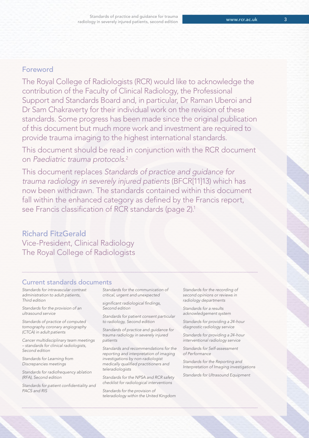# Foreword

The Royal College of Radiologists (RCR) would like to acknowledge the contribution of the Faculty of Clinical Radiology, the Professional Support and Standards Board and, in particular, Dr Raman Uberoi and Dr Sam Chakraverty for their individual work on the revision of these standards. Some progress has been made since the original publication of this document but much more work and investment are required to provide trauma imaging to the highest international standards.

This document should be read in conjunction with the RCR document on *Paediatric trauma protocols*. 2

This document replaces *Standards of practice and guidance for trauma radiology in severely injured patients* (BFCR[11]13) which has now been withdrawn. The standards contained within this document fall within the enhanced category as defined by the Francis report, see Francis classification of RCR standards (page 2).<sup>1</sup>

Richard FitzGerald Vice-President, Clinical Radiology The Royal College of Radiologists

## Current standards documents

*Standards for intravascular contrast administration to adult patients, Third edition*

*Standards for the provision of an ultrasound service*

*Standards of practice of computed tomography coronary angiography (CTCA) in adult patients*

*Cancer multidisciplinary team meetings – standards for clinical radiologists, Second edition*

*Standards for Learning from Discrepancies meetings*

*Standards for radiofrequency ablation (RFA), Second edition*

*Standards for patient confidentiality and PACS and RIS*

*Standards for the communication of critical, urgent and unexpected* 

*significant radiological findings, Second edition*

*Standards for patient consent particular to radiology, Second edition*

*Standards of practice and guidance for trauma radiology in severely injured patients*

*Standards and recommendations for the reporting and interpretation of imaging investigations by non-radiologist medically qualified practitioners and teleradiologists*

*Standards for the NPSA and RCR safety checklist for radiological interventions*

*Standards for the provision of teleradiology within the United Kingdom* 

*Standards for the recording of second opinions or reviews in radiology departments*

*Standards for a results acknowledgement system*

*Standards for providing a 24-hour diagnostic radiology service*

*Standards for providing a 24-hour interventional radiology service*

*Standards for Self-assessment of Performance*

*Standards for the Reporting and Interpretation of Imaging investigations*

*Standards for Ultrasound Equipment*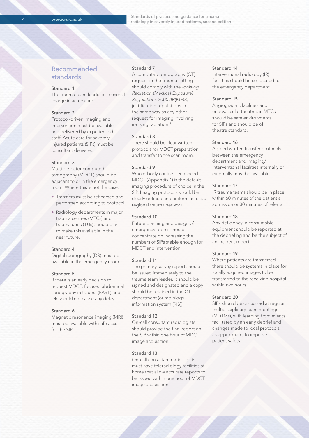## Standard 1

The trauma team leader is in overall charge in acute care.

## Standard 2

Protocol-driven imaging and intervention must be available and delivered by experienced staff. Acute care for severely injured patients (SIPs) must be consultant delivered.

## Standard 3

Multi-detector computed tomography (MDCT) should be adjacent to or in the emergency room. Where this is not the case:

- Transfers must be rehearsed and performed according to protocol
- Radiology departments in major trauma centres (MTCs) and trauma units (TUs) should plan to make this available in the near future.

## Standard 4

Digital radiography (DR) must be available in the emergency room.

## Standard 5

If there is an early decision to request MDCT, focused abdominal sonography in trauma (FAST) and DR should not cause any delay.

#### Standard 6

Magnetic resonance imaging (MRI) must be available with safe access for the SIP.

## Standard 7

A computed tomography (CT) request in the trauma setting should comply with the *Ionising Radiation (Medical Exposure) Regulations 2000 (IR(ME)R)* justification regulations in the same way as any other request for imaging involving ionising radiation.3

radiology in severely injured patients, second edition

#### Standard 8

There should be clear written protocols for MDCT preparation and transfer to the scan room.

#### Standard 9

Whole-body contrast-enhanced MDCT (Appendix 1) is the default imaging procedure of choice in the SIP. Imaging protocols should be clearly defined and uniform across a regional trauma network.

#### Standard 10

Future planning and design of emergency rooms should concentrate on increasing the numbers of SIPs stable enough for MDCT and intervention.

#### Standard 11

The primary survey report should be issued immediately to the trauma team leader. It should be signed and designated and a copy should be retained in the CT department (or radiology information system [RIS]).

## Standard 12

On-call consultant radiologists should provide the final report on the SIP within one hour of MDCT image acquisition.

#### Standard 13

On-call consultant radiologists must have teleradiology facilities at home that allow accurate reports to be issued within one hour of MDCT image acquisition.

#### Standard 14

Interventional radiology (IR) facilities should be co-located to the emergency department.

## Standard 15

Angiographic facilities and endovascular theatres in MTCs should be safe environments for SIPs and should be of theatre standard.

#### Standard 16

Agreed written transfer protocols between the emergency department and imaging/ interventional facilities internally or externally must be available.

## Standard 17

IR trauma teams should be in place within 60 minutes of the patient's admission or 30 minutes of referral.

### Standard 18

Any deficiency in consumable equipment should be reported at the debriefing and be the subject of an incident report.

#### Standard 19

Where patients are transferred there should be systems in place for locally acquired images to be transferred to the receiving hospital within two hours.

#### Standard 20

SIPs should be discussed at regular multidisciplinary team meetings (MDTMs), with learning from events facilitated by an early debrief and changes made to local protocols, as appropriate, to improve patient safety.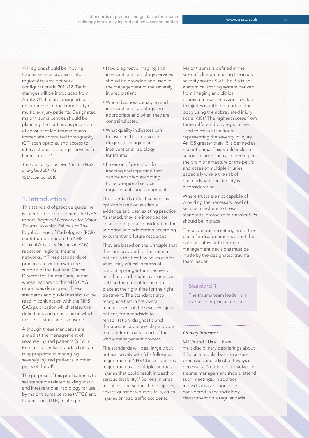'All regions should be moving trauma service provision into regional trauma network configurations in 2011/12. Tariff changes will be introduced from April 2011 that are designed to recompense for the complexity of multiple-injury patients. Designated major trauma centres should be planning the continuous provision of consultant led trauma teams, immediate computed tomography (CT) scan options, and access to interventional radiology services for haemorrhage.'

*The Operating Framework for the NHS in England 2011/124*

15 December 2010

## 1. Introduction

This standard of practice guideline is intended to complement the NHS report, *Regional Networks for Major Trauma*, to which Fellows of The Royal College of Radiologists (RCR) contributed through the NHS Clinical Advisory Groups (CAGs) report on regional trauma networks.5,6 These standards of practice are written with the support of the National Clinical Director for Trauma Care, under whose leadership the NHS CAG report was developed. These standards and guidelines should be read in conjunction with the NHS CAG publication which states the definitions and principles on which this set of standards is based.<sup>5</sup>

Although these standards are aimed at the management of severely injured patients (SIPs) in England, a similar standard of care is appropriate in managing severely injured patients in other parts of the UK.

The purpose of this publication is to set standards related to diagnostic and interventional radiology for use by major trauma centres (MTCs) and trauma units (TUs) relating to:

- How diagnostic imaging and interventional radiology services should be provided and used in the management of the severely injured patient
- When diagnostic imaging and interventional radiology are appropriate and when they are contraindicated
- What quality indicators can be used in the provision of diagnostic imaging and interventional radiology for trauma
- Provision of protocols for imaging and reporting that can be adapted according to loco-regional service requirements and equipment.

The standards reflect consensus opinion based on available evidence and best existing practice. As stated, they are intended for local and regional consideration for adoption and adaptation according to current and future resources.

They are based on the principle that the care provided to the trauma patient in the first few hours can be absolutely critical in terms of predicting longer-term recovery and that good trauma care involves getting the patient to the right place at the right time for the right treatment. The standards also recognise that in the overall management of the severely injured patient, from roadside to rehabilitation, diagnostic and therapeutic radiology play a pivotal role but form a small part of the whole management process.

The standards will deal largely but not exclusively with SIPs following major trauma. NHS Choices defines major trauma as 'multiple, serious injuries that could result in death or serious disability'.7 Serious injuries might include serious head injuries, severe gunshot wounds, falls, crush injuries or road traffic accidents.

Major trauma is defined in the scientific literature using the injury severity score (ISS).<sup>8</sup> The ISS is an anatomical scoring system derived from imaging and clinical examination which assigns a value to injuries in different parts of the body using the abbreviated injury scale (AIS).<sup>9</sup> The highest scores from three different body regions are used to calculate a figure representing the severity of injury. An ISS greater than 15 is defined as major trauma. This would include serious injuries such as bleeding in the brain or a fracture of the pelvis and cases of multiple injuries, especially where the risk of haemodynamic instability is a consideration.

Where trusts are not capable of providing the necessary level of service to adhere to these standards, protocols to transfer SIPs should be in place.

The acute trauma setting is not the place for disagreements about the patient pathway. Immediate management decisions must be made by the designated trauma team leader.

## Standard 1

The trauma team leader is in overall charge in acute care.

## . . . . . . . . . . . . . . . . . *Quality indicator*

MTCs and TUs will have multidisciplinary debriefings about SIPs on a regular basis to assess processes and adjust pathways if necessary. A radiologist involved in trauma management should attend such meetings. In addition, individual cases should be considered in the radiology department on a regular basis.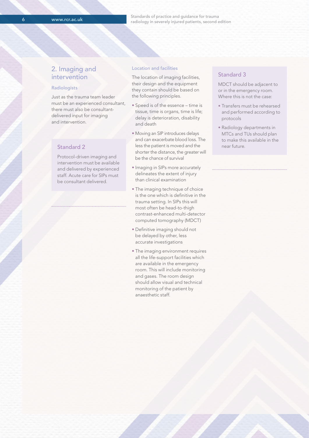# 2. Imaging and intervention

## Radiologists

Just as the trauma team leader must be an experienced consultant, there must also be consultantdelivered input for imaging and intervention.

## Standard 2

Protocol-driven imaging and intervention must be available and delivered by experienced staff. Acute care for SIPs must be consultant delivered.

## Location and facilities

The location of imaging facilities, their design and the equipment they contain should be based on the following principles.

- Speed is of the essence time is tissue, time is organs, time is life; delay is deterioration, disability and death
- Moving an SIP introduces delays and can exacerbate blood loss. The less the patient is moved and the shorter the distance, the greater will be the chance of survival
- Imaging in SIPs more accurately delineates the extent of injury than clinical examination
- The imaging technique of choice is the one which is definitive in the trauma setting. In SIPs this will most often be head-to-thigh contrast-enhanced multi-detector computed tomography (MDCT)
- Definitive imaging should not be delayed by other, less accurate investigations
- The imaging environment requires all the life-support facilities which are available in the emergency room. This will include monitoring and gases. The room design should allow visual and technical monitoring of the patient by anaesthetic staff.

## Standard 3

MDCT should be adjacent to or in the emergency room. Where this is not the case:

- Transfers must be rehearsed and performed according to protocols
- Radiology departments in MTCs and TUs should plan to make this available in the near future.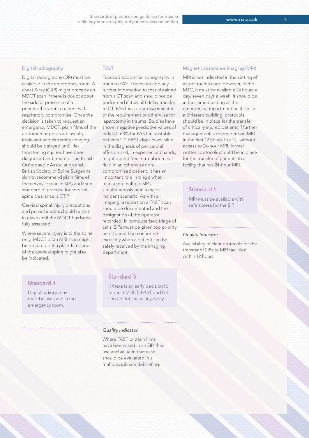## Digital radiography

Digital radiography (DR) must be available in the emergency room. A chest X-ray (CXR) might precede an MDCT scan if there is doubt about the side or presence of a pneumothorax in a patient with respiratory compromise. Once the decision is taken to request an emergency MDCT, plain films of the abdomen or pelvis are usually irrelevant and extremity imaging should be delayed until lifethreatening injuries have been diagnosed and treated. The British Orthopaedic Association and British Society of Spine Surgeons do not recommend plain films of the cervical-spine in SIPs and their standard of practice for cervicalspine clearance is CT.<sup>10</sup>

Cervical spinal injury precautions and pelvic binders should remain in place until the MDCT has been fully assessed.

Where severe injury is to the spine only, MDCT or an MRI scan might be required but a plain-film series of the cervical spine might also be indicated.

## Standard 4

Digital radiography must be available in the emergency room.

### FAST

Focused abdominal sonography in trauma (FAST) does not add any further information to that obtained from a CT scan and should not be performed if it would delay transfer to CT. FAST is a poor discriminator of the requirement or otherwise for laparotomy in trauma. Studies have shown negative predictive values of only 50–63% for FAST in unstable patients.11,12 FAST does have value in the diagnosis of pericardial effusion and, in experienced hands, might detect free intra-abdominal fluid in an otherwise noncompromised patient. It has an important role in triage when managing multiple SIPs simultaneously or in a major incident scenario. As with all imaging, a report on a FAST scan should be documented and the designation of the operator recorded. In computerised triage of calls, SIPs must be given top priority and it should be confirmed explicitly when a patient can be safely received by the imaging department.

## Standard 5

If there is an early decision to request MDCT, FAST and DR should not cause any delay.

#### *Quality indicator*

Where FAST or plain films have been used in an SIP, their use and value in that case should be evaluated in a multidisciplinary debriefing.

#### Magnetic resonance imaging (MRI)

MRI is not indicated in the setting of acute trauma care. However, in the MTC, it must be available 24 hours a day, seven days a week. It should be in the same building as the emergency department or, if it is in a different building, protocols should be in place for the transfer of critically injured patients if further management is dependent on MRI in the first 12 hours. In a TU without access to 24-hour MRI, formal written protocols should be in place for the transfer of patients to a facility that has 24-hour MRI.

## Standard 6

MRI must be available with safe access for the SIP.

#### *Quality indicator*

Availability of clear protocols for the transfer of SIPs to MRI facilities within 12 hours.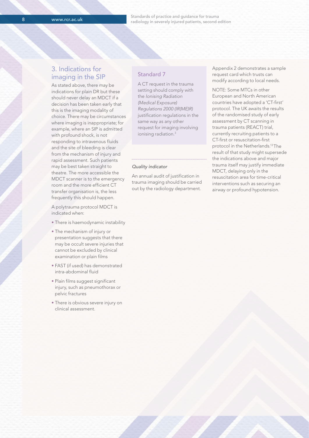# 3. Indications for imaging in the SIP

As stated above, there may be indications for plain DR but these should never delay an MDCT if a decision has been taken early that this is the imaging modality of choice. There may be circumstances where imaging is inappropriate; for example, where an SIP is admitted with profound shock, is not responding to intravenous fluids and the site of bleeding is clear from the mechanism of injury and rapid assessment. Such patients may be best taken straight to theatre. The more accessible the MDCT scanner is to the emergency room and the more efficient CT transfer organisation is, the less frequently this should happen.

A polytrauma protocol MDCT is indicated when:

- There is haemodynamic instability
- The mechanism of injury or presentation suggests that there may be occult severe injuries that cannot be excluded by clinical examination or plain films
- FAST (if used) has demonstrated intra-abdominal fluid
- Plain films suggest significant injury, such as pneumothorax or pelvic fractures
- There is obvious severe injury on clinical assessment.

## Standard 7

A CT request in the trauma setting should comply with the *Ionising Radiation (Medical Exposure) Regulations 2000 (IR(ME)R)*  justification regulations in the same way as any other request for imaging involving ionising radiation.3

## *Quality indicator*

An annual audit of justification in trauma imaging should be carried out by the radiology department.

Appendix 2 demonstrates a sample request card which trusts can modify according to local needs.

NOTE: Some MTCs in other European and North American countries have adopted a 'CT-first' protocol. The UK awaits the results of the randomised study of early assessment by CT scanning in trauma patients (REACT) trial, currently recruiting patients to a CT-first or resuscitation-first protocol in the Netherlands.13 The result of that study might supersede the indications above and major trauma itself may justify immediate MDCT, delaying only in the resuscitation area for time-critical interventions such as securing an airway or profound hypotension.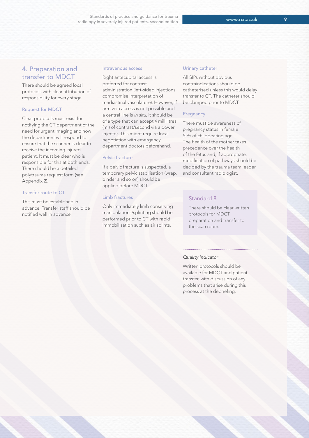# 4. Preparation and transfer to MDCT

There should be agreed local protocols with clear attribution of responsibility for every stage.

#### Request for MDCT

Clear protocols must exist for notifying the CT department of the need for urgent imaging and how the department will respond to ensure that the scanner is clear to receive the incoming injured patient. It must be clear who is responsible for this at both ends. There should be a detailed polytrauma request form (see Appendix 2).

## Transfer route to CT

This must be established in advance. Transfer staff should be notified well in advance.

#### Intravenous access

Right antecubital access is preferred for contrast administration (left-sided injections compromise interpretation of mediastinal vasculature). However, if arm vein access is not possible and a central line is *in situ*, it should be of a type that can accept 4 millilitres (ml) of contrast/second via a power injector. This might require local negotiation with emergency department doctors beforehand.

## Pelvic fracture

If a pelvic fracture is suspected, a temporary pelvic stabilisation (wrap, binder and so on) should be applied before MDCT.

## Limb fractures

Only immediately limb conserving manipulations/splinting should be performed prior to CT with rapid immobilisation such as air splints.

#### Urinary catheter

All SIPs without obvious contraindications should be catheterised unless this would delay transfer to CT. The catheter should be clamped prior to MDCT.

#### **Pregnancy**

There must be awareness of pregnancy status in female SIPs of childbearing age. The health of the mother takes precedence over the health of the fetus and, if appropriate, modification of pathways should be decided by the trauma team leader and consultant radiologist.

## Standard 8

There should be clear written protocols for MDCT preparation and transfer to the scan room.

#### *Quality indicator*

Written protocols should be available for MDCT and patient transfer, with discussion of any problems that arise during this process at the debriefing.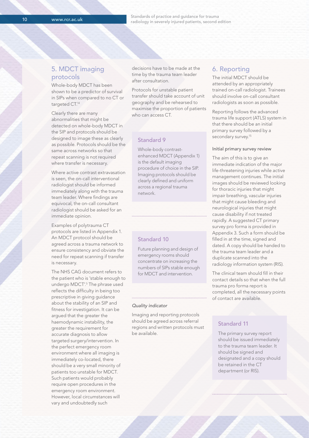Whole-body MDCT has been shown to be a predictor of survival in SIPs when compared to no CT or targeted CT.<sup>14</sup>

Clearly there are many abnormalities that might be detected on whole-body MDCT in the SIP and protocols should be designed to image these as clearly as possible. Protocols should be the same across networks so that repeat scanning is not required where transfer is necessary.

Where active contrast extravasation is seen, the on-call interventional radiologist should be informed immediately along with the trauma team leader. Where findings are equivocal, the on-call consultant radiologist should be asked for an immediate opinion.

Examples of polytrauma CT protocols are listed in Appendix 1. An MDCT protocol should be agreed across a trauma network to ensure consistency and obviate the need for repeat scanning if transfer is necessary.

The NHS CAG document refers to the patient who is 'stable enough to undergo MDCT'.<sup>5</sup> The phrase used reflects the difficulty in being too prescriptive in giving guidance about the stability of an SIP and fitness for investigation. It can be argued that the greater the haemodynamic instability, the greater the requirement for accurate diagnosis to allow targeted surgery/intervention. In the perfect emergency room environment where all imaging is immediately co-located, there should be a very small minority of patients too unstable for MDCT. Such patients would probably require open procedures in the emergency room environment. However, local circumstances will vary and undoubtedly such

decisions have to be made at the time by the trauma team leader after consultation.

Protocols for unstable patient transfer should take account of unit geography and be rehearsed to maximise the proportion of patients who can access CT.

## Standard 9

Whole-body contrastenhanced MDCT (Appendix 1) is the default imaging procedure of choice in the SIP. Imaging protocols should be clearly defined and uniform across a regional trauma network.

## Standard 10

Future planning and design of emergency rooms should concentrate on increasing the numbers of SIPs stable enough for MDCT and intervention.

## *Quality indicator*

Imaging and reporting protocols should be agreed across referral regions and written protocols must be available.

# 6. Reporting

The initial MDCT should be attended by an appropriately trained on-call radiologist. Trainees should involve on-call consultant radiologists as soon as possible.

Reporting follows the advanced trauma life support (ATLS) system in that there should be an initial primary survey followed by a secondary survey.<sup>15</sup>

## Initial primary survey review

The aim of this is to give an immediate indication of the major life-threatening injuries while active management continues. The initial images should be reviewed looking for thoracic injuries that might impair breathing, vascular injuries that might cause bleeding and neurological injuries that might cause disability if not treated rapidly. A suggested CT primary survey pro forma is provided in Appendix 3. Such a form should be filled in at the time, signed and dated. A copy should be handed to the trauma team leader and a duplicate scanned into the radiology information system (RIS).

The clinical team should fill in their contact details so that when the full trauma pro forma report is completed, all the necessary points of contact are available.

## Standard 11

The primary survey report should be issued immediately to the trauma team leader. It should be signed and designated and a copy should be retained in the CT department (or RIS).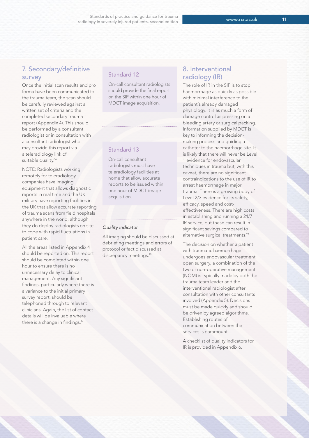## 7. Secondary/definitive survey

Once the initial scan results and pro forma have been communicated to the trauma team, the scan should be carefully reviewed against a written set of criteria and the completed secondary trauma report (Appendix 4). This should be performed by a consultant radiologist or in consultation with a consultant radiologist who may provide this report via a teleradiology link of suitable quality.<sup>16</sup>

NOTE: Radiologists working remotely for teleradiology companies have imaging equipment that allows diagnostic reports in real time and the UK military have reporting facilities in the UK that allow accurate reporting of trauma scans from field hospitals anywhere in the world, although they do deploy radiologists on site to cope with rapid fluctuations in patient care.

All the areas listed in Appendix 4 should be reported on. This report should be completed within one hour to ensure there is no unnecessary delay to clinical management. Any significant findings, particularly where there is a variance to the initial primary survey report, should be telephoned through to relevant clinicians. Again, the list of contact details will be invaluable where there is a change in findings.<sup>17</sup>

## Standard 12

On-call consultant radiologists should provide the final report on the SIP within one hour of MDCT image acquisition.

## Standard 13

On-call consultant radiologists must have teleradiology facilities at home that allow accurate reports to be issued within one hour of MDCT image acquisition.

#### *Quality indicator*

All imaging should be discussed at debriefing meetings and errors of protocol or fact discussed at discrepancy meetings.<sup>18</sup>

# 8. Interventional radiology (IR)

The role of IR in the SIP is to stop haemorrhage as quickly as possible with minimal interference to the patient's already damaged physiology. It is as much a form of damage control as pressing on a bleeding artery or surgical packing. Information supplied by MDCT is key to informing the decisionmaking process and guiding a catheter to the haemorrhage site. It is likely that there will never be Level 1 evidence for endovascular techniques in trauma but, with this caveat, there are no significant contraindications to the use of IR to arrest haemorrhage in major trauma. There is a growing body of Level 2/3 evidence for its safety, efficacy, speed and costeffectiveness. There are high costs in establishing and running a 24/7 IR service, but these can result in significant savings compared to alternative surgical treatments.19

The decision on whether a patient with traumatic haemorrhage undergoes endovascular treatment, open surgery, a combination of the two or non-operative management (NOM) is typically made by both the trauma team leader and the interventional radiologist after consultation with other consultants involved (Appendix 5). Decisions must be made quickly and should be driven by agreed algorithms. Establishing routes of communication between the services is paramount.

A checklist of quality indicators for IR is provided in Appendix 6.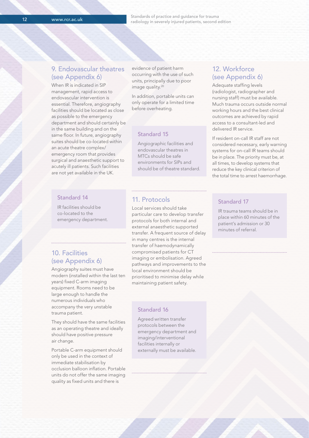12 www.rcr.ac.uk Standards of practice and guidance for trauma radiology in severely injured patients, second edition

# 9. Endovascular theatres (see Appendix 6)

When IR is indicated in SIP management, rapid access to endovascular intervention is essential. Therefore, angiography facilities should be located as close as possible to the emergency department and should certainly be in the same building and on the same floor. In future, angiography suites should be co-located within an acute theatre complex/ emergency room that provides surgical and anaesthetic support to acutely ill patients. Such facilities are not yet available in the UK.

## Standard 14

IR facilities should be co-located to the emergency department.

# 10. Facilities (see Appendix 6)

Angiography suites must have modern (installed within the last ten years) fixed C-arm imaging equipment. Rooms need to be large enough to handle the numerous individuals who accompany the very unstable trauma patient.

They should have the same facilities as an operating theatre and ideally should have positive pressure air change.

Portable C-arm equipment should only be used in the context of immediate stabilisation by occlusion balloon inflation. Portable units do not offer the same imaging quality as fixed units and there is

evidence of patient harm occurring with the use of such units, principally due to poor image quality.<sup>20</sup>

In addition, portable units can only operate for a limited time before overheating.

## Standard 15

Angiographic facilities and endovascular theatres in MTCs should be safe environments for SIPs and should be of theatre standard.

## 11. Protocols

Local services should take particular care to develop transfer protocols for both internal and external anaesthetic supported transfer. A frequent source of delay in many centres is the internal transfer of haemodynamically compromised patients for CT imaging or embolisation. Agreed pathways and improvements to the local environment should be prioritised to minimise delay while maintaining patient safety.

## Standard 16

Agreed written transfer protocols between the emergency department and imaging/interventional facilities internally or externally must be available.

# 12. Workforce (see Appendix 6)

Adequate staffing levels (radiologist, radiographer and nursing staff) must be available. Much trauma occurs outside normal working hours and the best clinical outcomes are achieved by rapid access to a consultant-led and delivered IR service.

If resident on-call IR staff are not considered necessary, early warning systems for on-call IR teams should be in place. The priority must be, at all times, to develop systems that reduce the key clinical criterion of the total time to arrest haemorrhage.

## Standard 17

IR trauma teams should be in place within 60 minutes of the patient's admission or 30 minutes of referral.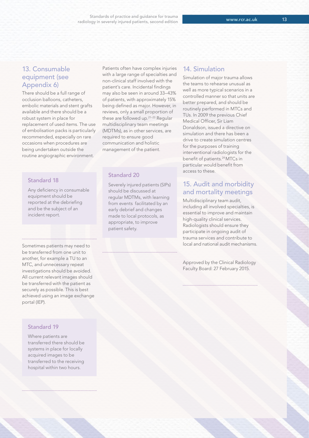## 13. Consumable equipment (see Appendix 6)

There should be a full range of occlusion balloons, catheters, embolic materials and stent grafts available and there should be a robust system in place for replacement of used items. The use of embolisation packs is particularly recommended, especially on rare occasions when procedures are being undertaken outside the routine angiographic environment.

## Standard 18

Any deficiency in consumable equipment should be reported at the debriefing and be the subject of an incident report.

Sometimes patients may need to be transferred from one unit to another, for example a TU to an MTC, and unnecessary repeat investigations should be avoided. All current relevant images should be transferred with the patient as securely as possible. This is best achieved using an image exchange portal (IEP).

## Standard 19

Where patients are transferred there should be systems in place for locally acquired images to be transferred to the receiving hospital within two hours.

Patients often have complex injuries with a large range of specialties and non-clinical staff involved with the patient's care. Incidental findings may also be seen in around 33–43% of patients, with approximately 15% being defined as major. However, in reviews, only a small proportion of these are followed up.<sup>21-23</sup> Regular multidisciplinary team meetings (MDTMs), as in other services, are required to ensure good communication and holistic management of the patient.

## Standard 20

Severely injured patients (SIPs) should be discussed at regular MDTMs, with learning from events facilitated by an early debrief and changes made to local protocols, as appropriate, to improve patient safety.

## 14. Simulation

Simulation of major trauma allows the teams to rehearse unusual as well as more typical scenarios in a controlled manner so that units are better prepared, and should be routinely performed in MTCs and TUs. In 2009 the previous Chief Medical Officer, Sir Liam Donaldson, issued a directive on simulation and there has been a drive to create simulation centres for the purposes of training interventional radiologists for the benefit of patients.24 MTCs in particular would benefit from access to these.

# 15. Audit and morbidity and mortality meetings

Multidisciplinary team audit, including all involved specialties, is essential to improve and maintain high-quality clinical services. Radiologists should ensure they participate in ongoing audit of trauma services and contribute to local and national audit mechanisms.

Approved by the Clinical Radiology Faculty Board: 27 February 2015.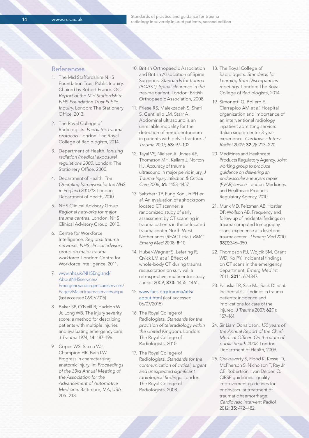## References

- 1. The Mid Staffordshire NHS Foundation Trust Public Inquiry. Chaired by Robert Francis QC. *Report of the Mid Staffordshire NHS Foundation Trust Public Inquiry*. London: The Stationery Office, 2013.
- 2. The Royal College of Radiologists. *Paediatric trauma protocols*. London: The Royal College of Radiologists, 2014.
- 3. Department of Health. *Ionising radiation (medical exposure) regulations 2000*. London: The Stationery Office, 2000.
- 4. Department of Health. *The Operating framework for the NHS in England 2011/12*. London: Department of Health, 2010.
- 5. NHS Clinical Advisory Group. *Regional networks for major trauma centres*. London: NHS Clinical Advisory Group, 2010.
- 6. Centre for Workforce Intelligence. *Regional trauma networks. NHS clinical advisory group on major trauma workforce*. London: Centre for Workforce Intelligence, 2011.
- 7. www.nhs.uk/NHSEngland/ AboutNHSservices/ Emergencyandurgentcareservices/ Pages/Majortraumaservices.aspx (last accessed 06/07/2015)
- 8. Baker SP, O'Neill B, Haddon W Jr, Long WB. The injury severity score: a method for describing patients with multiple injuries and evaluating emergency care. *J Trauma* 1974; 14: 187–196.
- 9. Copes WS, Sacco WJ, Champion HR, Bain LW. Progress in characterising anatomic injury. In: *Proceedings of the 33rd Annual Meeting of the Association for the Advancement of Automotive Medicine*. Baltimore, MA, USA: 205–218.
- 10. British Orthopaedic Association and British Association of Spine Surgeons. *Standards for trauma (BOAST). Spinal clearance in the trauma patient*. London: British Orthopaedic Association, 2008.
- 11. Friese RS, Malekzadeh S, Shafi S, Gentilello LM, Starr A. Abdominal ultrasound is an unreliable modality for the detection of hemoperitoneum in patients with pelvic fracture. *J Trauma* 2007; 63: 97–102.
- 12. Tayal VS, Nielsen A, Jones AE, Thomason MH, Kellam J, Norton HJ. Accuracy of trauma ultrasound in major pelvic injury. *J Trauma-Injury Infection & Critical Care* 2006; 61: 1453–1457.
- 13. Saltzherr TP, Fung Kon Jin PH *et al*. An evaluation of a shockroom located CT scanner: a randomized study of early assessment by CT scanning in trauma patients in the bi-located trauma center North-West Netherlands (REACT trial). *BMC Emerg Med* 2008; 8: 10.
- 14. Huber-Wagner S, Lefering R, Qvick LM *et al.* Effect of whole-body CT during trauma resuscitation on survival: a retrospective, multicentre study. *Lancet* 2009; 373: 1455–1461.
- 15. www.facs.org/trauma/atls/ about.html (last accessed 06/07/2015)
- 16. The Royal College of Radiologists. *Standards for the provision of teleradiology within the United Kingdom*. London: The Royal College of Radiologists, 2010.
- 17. The Royal College of Radiologists. *Standards for the communication of critical, urgent and unexpected significant radiological findings*. London: The Royal College of Radiologists, 2008.
- 18. The Royal College of Radiologists. *Standards for Learning from Discrepancies meetings*. London: The Royal College of Radiologists, 2014.
- 19. Simonetti G, Bollero E, Ciarrapico AM *et al*. Hospital organization and importance of an interventional radiology inpatient admitting service: Italian single-center 3-year experience. *Cardiovasc Interv Radiol* 2009; 32(2): 213–220.
- 20. Medicines and Healthcare Products Regulatory Agency. *Joint working group to produce guidance on delivering an endovascular aneurysm repair (EVAR) service*. London: Medicines and Healthcare Products Regulatory Agency, 2010.
- 21. Munk MD, Peitzman AB, Hostler DP, Wolfson AB. Frequency and follow-up of incidental findings on trauma computed tomography scans: experience at a level one trauma center. *J Emerg Med* 2010; 38(3):346–350.
- 22. Thompson RJ, Wojcik SM, Grant WD, Ko PY. Incidental findings on CT scans in the emergency department. *Emerg Med Int* 2011; 2011: 624847.
- 23. Paluska TR, Sise MJ, Sack DI *et al*. Incidental CT findings in trauma patients: incidence and implications for care of the injured. *J Trauma* 2007; 62(1): 157–161.
- 24. Sir Liam Donaldson. *150 years of the Annual Report of the Chief Medical Officer: On the state of public health 2008*. London: Department of Health, 2009.
- 25. Chakraverty S, Flood K, Kessel D, McPherson S, Nicholson T, Ray Jr CE, Robertson I, van Delden O. CIRSE guidelines: quality improvement guidelines for endovascular treatment of traumatic haemorrhage. *Cardiovasc Intervent Radiol* 2012; 35: 472–482.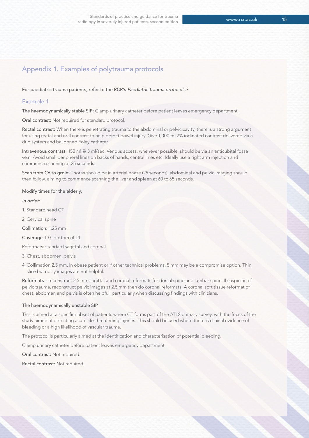# Appendix 1. Examples of polytrauma protocols

For paediatric trauma patients, refer to the RCR's *Paediatric trauma protocols*. 2

## Example 1

The haemodynamically stable SIP: Clamp urinary catheter before patient leaves emergency department.

Oral contrast: Not required for standard protocol.

Rectal contrast: When there is penetrating trauma to the abdominal or pelvic cavity, there is a strong argument for using rectal and oral contrast to help detect bowel injury. Give 1,000 ml 2% iodinated contrast delivered via a drip system and ballooned Foley catheter.

Intravenous contrast: 150 ml @ 3 ml/sec. Venous access, whenever possible, should be via an anticubital fossa vein. Avoid small peripheral lines on backs of hands, central lines etc. Ideally use a right arm injection and commence scanning at 25 seconds.

Scan from C6 to groin: Thorax should be in arterial phase (25 seconds), abdominal and pelvic imaging should then follow, aiming to commence scanning the liver and spleen at 60 to 65 seconds.

## Modify times for the elderly.

*In order:*

- 1. Standard head CT
- 2. Cervical spine

Collimation: 1.25 mm

Coverage: C0–bottom of T1

Reformats: standard sagittal and coronal

3. Chest, abdomen, pelvis

4. Collimation 2.5 mm. In obese patient or if other technical problems, 5 mm may be a compromise option. Thin slice but noisy images are not helpful.

Reformats – reconstruct 2.5 mm sagittal and coronal reformats for dorsal spine and lumbar spine. If suspicion of pelvic trauma, reconstruct pelvic images at 2.5 mm then do coronal reformats. A coronal soft tissue reformat of chest, abdomen and pelvis is often helpful, particularly when discussing findings with clinicians.

## The haemodynamically unstable SIP

This is aimed at a specific subset of patients where CT forms part of the ATLS primary survey, with the focus of the study aimed at detecting acute life-threatening injuries. This should be used where there is clinical evidence of bleeding or a high likelihood of vascular trauma.

The protocol is particularly aimed at the identification and characterisation of potential bleeding.

Clamp urinary catheter before patient leaves emergency department

Oral contrast: Not required.

Rectal contrast: Not required.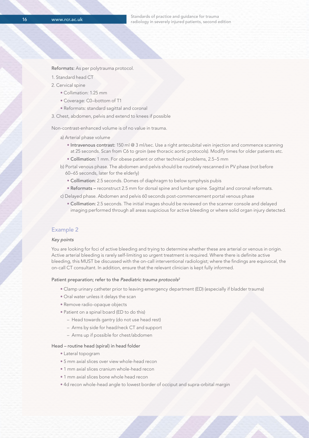#### Reformats: As per polytrauma protocol.

- 1. Standard head CT
- 2. Cervical spine
	- Collimation: 1.25 mm
	- Coverage: C0–bottom of T1
	- Reformats: standard sagittal and coronal
- 3. Chest, abdomen, pelvis and extend to knees if possible

Non-contrast-enhanced volume is of no value in trauma.

a) Arterial phase volume

- Intravenous contrast: 150 ml @ 3 ml/sec. Use a right antecubital vein injection and commence scanning at 25 seconds. Scan from C6 to groin (see thoracic aortic protocols). Modify times for older patients etc.
- Collimation: 1 mm. For obese patient or other technical problems, 2.5–5 mm
- b) Portal venous phase. The abdomen and pelvis should be routinely rescanned in PV phase (not before 60–65 seconds, later for the elderly)
	- Collimation: 2.5 seconds. Domes of diaphragm to below symphysis pubis
	- Reformats reconstruct 2.5 mm for dorsal spine and lumbar spine. Sagittal and coronal reformats.
- c) Delayed phase. Abdomen and pelvis 60 seconds post-commencement portal venous phase
	- Collimation: 2.5 seconds. The initial images should be reviewed on the scanner console and delayed imaging performed through all areas suspicious for active bleeding or where solid organ injury detected.

## Example 2

#### *Key points*

You are looking for foci of active bleeding and trying to determine whether these are arterial or venous in origin. Active arterial bleeding is rarely self-limiting so urgent treatment is required. Where there is definite active bleeding, this MUST be discussed with the on-call interventional radiologist; where the findings are equivocal, the on-call CT consultant. In addition, ensure that the relevant clinician is kept fully informed.

#### Patient preparation; refer to the *Paediatric trauma protocols2*

- Clamp urinary catheter prior to leaving emergency department (ED) (especially if bladder trauma)
- Oral water unless it delays the scan
- Remove radio-opaque objects
- Patient on a spinal board (ED to do this)
	- Head towards gantry (do not use head rest)
	- Arms by side for head/neck CT and support
	- Arms up if possible for chest/abdomen

#### Head – routine head (spiral) in head folder

- Lateral topogram
- 5 mm axial slices over view whole-head recon
- 1 mm axial slices cranium whole-head recon
- 1 mm axial slices bone whole head recon
- 4d recon whole-head angle to lowest border of occiput and supra-orbital margin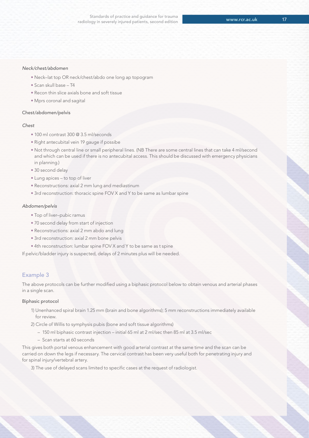- Neck–lat top OR neck/chest/abdo one long ap topogram
- Scan skull base T4
- Recon thin slice axials bone and soft tissue
- Mprs coronal and sagital

## Chest/abdomen/pelvis

#### *Chest*

- 100 ml contrast 300 @ 3.5 ml/seconds
- Right antecubital vein 19 gauge if possibe
- Not through central line or small peripheral lines. (NB There are some central lines that can take 4 ml/second and which can be used if there is no antecubital access. This should be discussed with emergency physicians in planning.)
- 30 second delay
- Lung apices to top of liver
- Reconstructions: axial 2 mm lung and mediastinum
- 3rd reconstruction: thoracic spine FOV X and Y to be same as lumbar spine

#### *Abdomen/pelvis*

- Top of liver–pubic ramus
- 70 second delay from start of injection
- Reconstructions: axial 2 mm abdo and lung
- 3rd reconstruction: axial 2 mm bone pelvis
- 4th reconstruction: lumbar spine FOV X and Y to be same as t spine

If pelvic/bladder injury is suspected, delays of 2 minutes plus will be needed.

## Example 3

The above protocols can be further modified using a biphasic protocol below to obtain venous and arterial phases in a single scan.

## Biphasic protocol

- 1) Unenhanced spiral brain 1.25 mm (brain and bone algorithms); 5 mm reconstructions immediately available for review.
- 2) Circle of Willis to symphysis pubis (bone and soft tissue algorithms)
	- 150 ml biphasic contrast injection initial 65 ml at 2 ml/sec then 85 ml at 3.5 ml/sec
	- Scan starts at 60 seconds

This gives both portal venous enhancement with good arterial contrast at the same time and the scan can be carried on down the legs if necessary. The cervical contrast has been very useful both for penetrating injury and for spinal injury/vertebral artery.

3) The use of delayed scans limited to specific cases at the request of radiologist.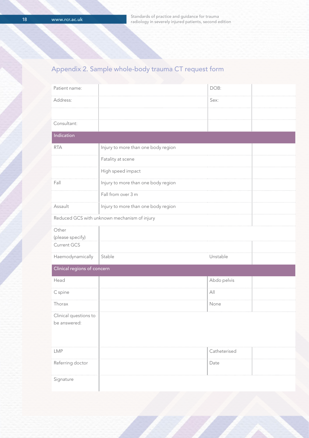# Appendix 2. Sample whole-body trauma CT request form

| Patient name:                         |                                              | DOB:         |  |
|---------------------------------------|----------------------------------------------|--------------|--|
| Address:                              |                                              | Sex:         |  |
|                                       |                                              |              |  |
| Consultant:                           |                                              |              |  |
| Indication                            |                                              |              |  |
| <b>RTA</b>                            | Injury to more than one body region          |              |  |
|                                       | Fatality at scene                            |              |  |
|                                       | High speed impact                            |              |  |
| Fall                                  | Injury to more than one body region          |              |  |
|                                       | Fall from over 3 m                           |              |  |
| Assault                               | Injury to more than one body region          |              |  |
|                                       | Reduced GCS with unknown mechanism of injury |              |  |
| Other                                 |                                              |              |  |
| (please specify)<br>Current GCS       |                                              |              |  |
| Haemodynamically                      | Stable                                       | Unstable     |  |
| Clinical regions of concern           |                                              |              |  |
| Head                                  |                                              | Abdo pelvis  |  |
| C spine                               |                                              | All          |  |
| Thorax                                |                                              | None         |  |
| Clinical questions to<br>be answered: |                                              |              |  |
| LMP                                   |                                              | Catheterised |  |
| Referring doctor                      |                                              | Date         |  |
| Signature                             |                                              |              |  |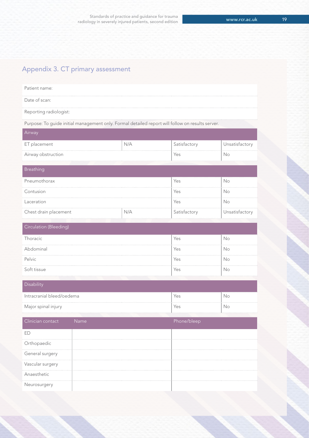# Appendix 3. CT primary assessment

| Patient name:          |
|------------------------|
|                        |
| Date of scan:          |
|                        |
|                        |
|                        |
| Reporting radiologist: |
|                        |

Purpose: To guide initial management only. Formal detailed report will follow on results server.

| Airway             |     |              |                |
|--------------------|-----|--------------|----------------|
| ET placement       | N/A | Satisfactory | Unsatisfactory |
| Airway obstruction |     | Yes          | Nο             |

| Breathing             |     |              |                |
|-----------------------|-----|--------------|----------------|
| Pneumothorax          |     | Yes          | No             |
| Contusion             |     | Yes          | No             |
| Laceration            |     | Yes          | No             |
| Chest drain placement | N/A | Satisfactory | Unsatisfactory |

| <b>Circulation (Bleeding)</b> |     |    |
|-------------------------------|-----|----|
| Thoracic                      | Yes | No |
| Abdominal                     | Yes | No |
| Pelvic                        | Yes | No |
| Soft tissue                   | Yes | No |

| Disability                |     |    |
|---------------------------|-----|----|
| Intracranial bleed/oedema | Yes | No |
| Major spinal injury       | Yes | No |

| Clinician contact | <b>Name</b> | Phone/bleep |
|-------------------|-------------|-------------|
| ED                |             |             |
| Orthopaedic       |             |             |
| General surgery   |             |             |
| Vascular surgery  |             |             |
| Anaesthetic       |             |             |
| Neurosurgery      |             |             |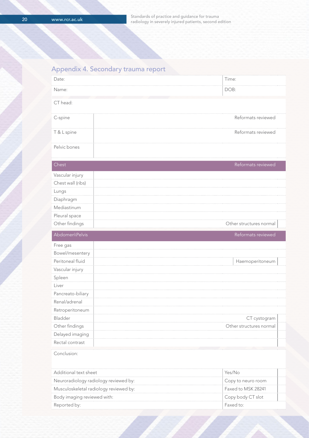<sup>20</sup> www.rcr.ac.uk Standards of practice and guidance for trauma radiology in severely injured patients, second edition

# Appendix 4. Secondary trauma report

| Date:             | Time:                   |
|-------------------|-------------------------|
| Name:             | DOB:                    |
| CT head:          |                         |
| C-spine           | Reformats reviewed      |
| T & L spine       | Reformats reviewed      |
| Pelvic bones      |                         |
| Chest             | Reformats reviewed      |
| Vascular injury   |                         |
| Chest wall (ribs) |                         |
| Lungs             |                         |
| Diaphragm         |                         |
| Mediastinum       |                         |
|                   |                         |
| Pleural space     |                         |
| Other findings    | Other structures normal |
| Abdomen\Pelvis    | Reformats reviewed      |
| Free gas          |                         |
| Bowel/mesentery   |                         |
| Peritoneal fluid  | Haemoperitoneum         |
| Vascular injury   |                         |
| Spleen            |                         |
| Liver             |                         |
| Pancreato-biliary |                         |
| Renal/adrenal     |                         |
| Retroperitoneum   |                         |
| Bladder           | CT cystogram            |
| Other findings    | Other structures normal |
| Delayed imaging   |                         |
| Rectal contrast   |                         |

| Additional text sheet                  | Yes/No             |  |
|----------------------------------------|--------------------|--|
| Neuroradiology radiology reviewed by:  | Copy to neuro room |  |
| Musculoskeletal radiology reviewed by: | Faxed to MSK 28241 |  |
| Body imaging reviewed with:            | Copy body CT slot  |  |
| Reported by:                           | Faxed to:          |  |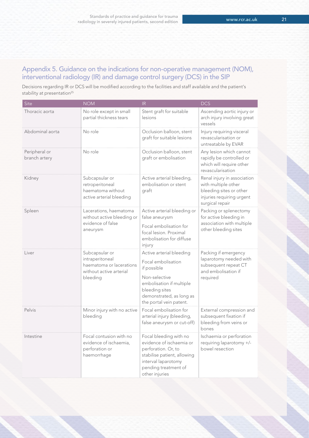# Appendix 5. Guidance on the indications for non-operative management (NOM), interventional radiology (IR) and damage control surgery (DCS) in the SIP

Decisions regarding IR or DCS will be modified according to the facilities and staff available and the patient's stability at presentation<sup>25</sup>

| Site                           | <b>NOM</b>                                                                                           | IR                                                                                                                                                                                  | <b>DCS</b>                                                                                                                    |
|--------------------------------|------------------------------------------------------------------------------------------------------|-------------------------------------------------------------------------------------------------------------------------------------------------------------------------------------|-------------------------------------------------------------------------------------------------------------------------------|
| Thoracic aorta                 | No role except in small<br>partial thickness tears                                                   | Stent graft for suitable<br>lesions                                                                                                                                                 | Ascending aortic injury or<br>arch injury involving great<br>vessels                                                          |
| Abdominal aorta                | No role                                                                                              | Occlusion balloon, stent<br>graft for suitable lesions                                                                                                                              | Injury requiring visceral<br>revascularisation or<br>untreatable by EVAR                                                      |
| Peripheral or<br>branch artery | No role                                                                                              | Occlusion balloon, stent<br>graft or embolisation                                                                                                                                   | Any lesion which cannot<br>rapidly be controlled or<br>which will require other<br>revascularisation                          |
| Kidney                         | Subcapsular or<br>retroperitoneal<br>haematoma without<br>active arterial bleeding                   | Active arterial bleeding,<br>embolisation or stent<br>graft                                                                                                                         | Renal injury in association<br>with multiple other<br>bleeding sites or other<br>injuries requiring urgent<br>surgical repair |
| Spleen                         | Lacerations, haematoma<br>without active bleeding or<br>evidence of false<br>aneurysm                | Active arterial bleeding or<br>false aneurysm<br>Focal embolisation for<br>focal lesion. Proximal<br>embolisation for diffuse<br>injury                                             | Packing or splenectomy<br>for active bleeding in<br>association with multiple<br>other bleeding sites                         |
| Liver                          | Subcapsular or<br>intraperitoneal<br>haematoma or lacerations<br>without active arterial<br>bleeding | Active arterial bleeding<br>Focal embolisation<br>if possible<br>Non-selective<br>embolisation if multiple<br>bleeding sites<br>demonstrated, as long as<br>the portal vein patent. | Packing if emergency<br>laparotomy needed with<br>subsequent repeat CT<br>and embolisation if<br>required                     |
| Pelvis                         | Minor injury with no active<br>bleeding                                                              | Focal embolisation for<br>arterial injury (bleeding,<br>false aneurysm or cut-off)                                                                                                  | External compression and<br>subsequent fixation if<br>bleeding from veins or<br>bones                                         |
| Intestine                      | Focal contusion with no<br>evidence of ischaemia,<br>perforation or<br>haemorrhage                   | Focal bleeding with no<br>evidence of ischaemia or<br>perforation. Or, to<br>stabilise patient, allowing<br>interval laparotomy<br>pending treatment of<br>other injuries           | Ischaemia or perforation<br>requiring laparotomy +/-<br>bowel resection                                                       |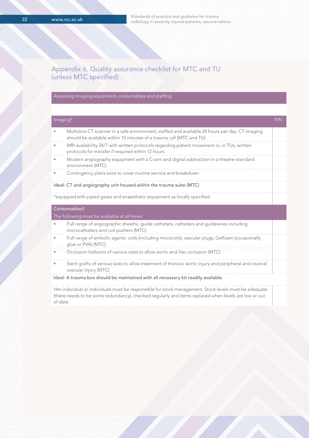# Appendix 6. Quality assurance checklist for MTC and TU (unless MTC specified)

## Assessing imaging equipment, consumables and staffing

|           | Imaging*                                                                                                                                                               | Y/N |
|-----------|------------------------------------------------------------------------------------------------------------------------------------------------------------------------|-----|
|           | Multislice CT scanner in a safe environment, staffed and available 24 hours per day. CT imaging<br>should be available within 15 minutes of a trauma call (MTC and TU) |     |
|           | MRI availability 24/7 with written protocols regarding patient movement or, in TUs, written<br>protocols for transfer if required within 12 hours                      |     |
| $\bullet$ | Modern angiography equipment with a C-arm and digital subtraction in a theatre-standard<br>environment (MTC)                                                           |     |
|           | Contingency plans exist to cover routine service and breakdown                                                                                                         |     |
|           | Ideal: CT and angiography unit housed within the trauma suite (MTC)                                                                                                    |     |
|           | *equipped with piped gases and anaesthetic equipment as locally specified                                                                                              |     |
|           | Consumablest                                                                                                                                                           |     |
|           | The following must be available at all times:                                                                                                                          |     |
|           | Full range of angiographic sheaths, guide catheters, catheters and guidewires including<br>microcatheters and coil pushers (MTC)                                       |     |
| 0         | Full range of embolic agents: coils (including microcoils), vascular plugs, Gelfoam (occasionally<br>glue or PVA) (MTC)                                                |     |
|           | Occlusion balloons of various sizes to allow aortic and iliac occlusion (MTC)                                                                                          |     |
|           | Stent grafts of various sizes to allow treatment of thoracic aortic injury and peripheral and visceral<br>vascular injury (MTC)                                        |     |
|           | Ideal: A trauma box should be maintained with all necessary kit readily available                                                                                      |     |
|           | tAn individual or individuals must be responsible for stock management. Stock levels must be adequate                                                                  |     |

(there needs to be some redundancy), checked regularly and items replaced when levels are low or out of date.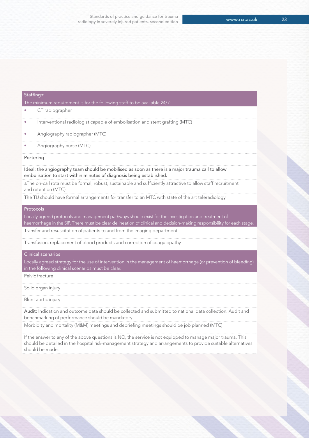# Staffing± The minimum requirement is for the following staff to be available 24/7: CT radiographer • Interventional radiologist capable of embolisation and stent grafting (MTC) • Angiography radiographer (MTC) • Angiography nurse (MTC)

#### Portering

Ideal: the angiography team should be mobilised as soon as there is a major trauma call to allow embolisation to start within minutes of diagnosis being established.

±The on-call rota must be formal, robust, sustainable and sufficiently attractive to allow staff recruitment and retention (MTC).

The TU should have formal arrangements for transfer to an MTC with state of the art teleradiology.

## Protocols

Locally agreed protocols and management pathways should exist for the investigation and treatment of haemorrhage in the SIP. There must be clear delineation of clinical and decision-making responsibility for each stage

Transfer and resuscitation of patients to and from the imaging department

Transfusion, replacement of blood products and correction of coagulopathy

## Clinical scenarios

Locally agreed strategy for the use of intervention in the management of haemorrhage (or prevention of bleeding) in the following clinical scenarios must be clear.

## Pelvic fracture

Solid organ injury

#### Blunt aortic injury

Audit: Indication and outcome data should be collected and submitted to national data collection. Audit and benchmarking of performance should be mandatory

Morbidity and mortality (M&M) meetings and debriefing meetings should be job planned (MTC)

If the answer to any of the above questions is NO, the service is not equipped to manage major trauma. This should be detailed in the hospital risk-management strategy and arrangements to provide suitable alternatives should be made.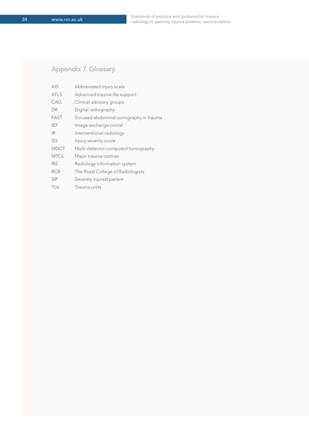# Appendix 7. Glossary

| AIS         | Abbreviated injury scale               |
|-------------|----------------------------------------|
| <b>ATLS</b> | Advanced trauma life support           |
| CAG         | Clinical advisory groups               |
| DR          | Digital radiography                    |
| FAST        | Focused abdominal sonography in trauma |
| IEP         | Image exchange portal                  |
| IR          | Interventional radiology               |
| <b>ISS</b>  | Injury severity score                  |
| <b>MDCT</b> | Multi-detector computed tomography     |
| <b>MTCs</b> | Major trauma centres                   |
| <b>RIS</b>  | Radiology information system           |
| <b>RCR</b>  | The Royal College of Radiologists      |
| <b>SIP</b>  | Severely injured patient               |
| TUs         | Trauma units                           |
|             |                                        |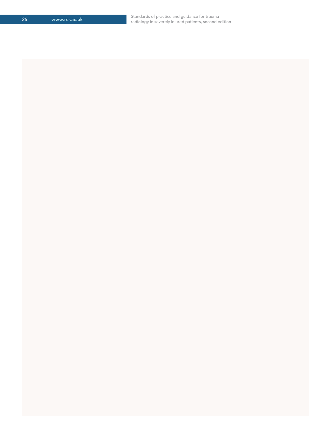